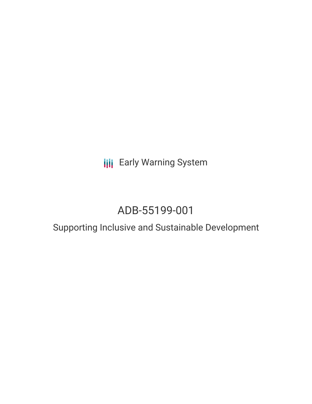**III** Early Warning System

# ADB-55199-001

# Supporting Inclusive and Sustainable Development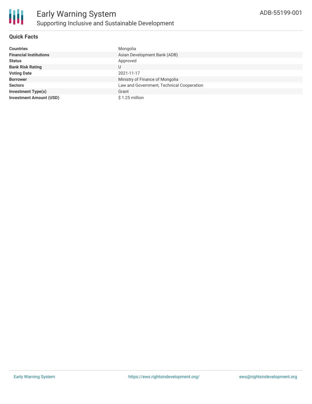

#### **Quick Facts**

| <b>Countries</b>               | Mongolia                                  |
|--------------------------------|-------------------------------------------|
| <b>Financial Institutions</b>  | Asian Development Bank (ADB)              |
| <b>Status</b>                  | Approved                                  |
| <b>Bank Risk Rating</b>        | U                                         |
| <b>Voting Date</b>             | 2021-11-17                                |
| <b>Borrower</b>                | Ministry of Finance of Mongolia           |
| <b>Sectors</b>                 | Law and Government, Technical Cooperation |
| <b>Investment Type(s)</b>      | Grant                                     |
| <b>Investment Amount (USD)</b> | \$1.25 million                            |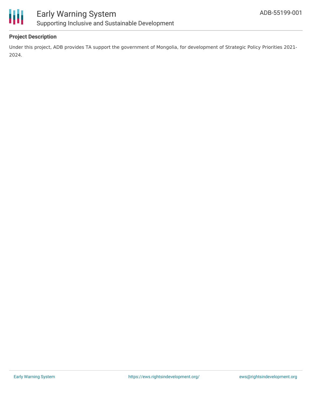

# ₩

### Early Warning System Supporting Inclusive and Sustainable Development

#### **Project Description**

Under this project, ADB provides TA support the government of Mongolia, for development of Strategic Policy Priorities 2021- 2024.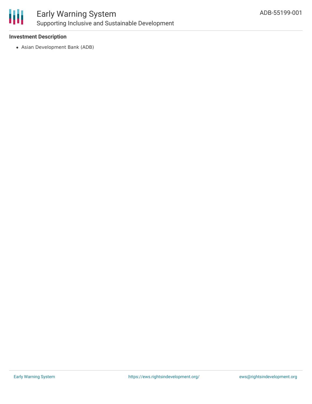

## Early Warning System Supporting Inclusive and Sustainable Development

#### **Investment Description**

Asian Development Bank (ADB)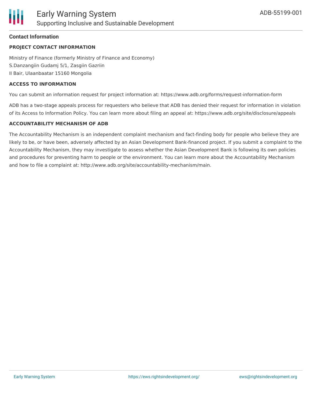#### **Contact Information**

#### **PROJECT CONTACT INFORMATION**

Ministry of Finance (formerly Ministry of Finance and Economy) S.Danzangiin Gudamj 5/1, Zasgiin Gazriin II Bair, Ulaanbaatar 15160 Mongolia

#### **ACCESS TO INFORMATION**

You can submit an information request for project information at: https://www.adb.org/forms/request-information-form

ADB has a two-stage appeals process for requesters who believe that ADB has denied their request for information in violation of its Access to Information Policy. You can learn more about filing an appeal at: https://www.adb.org/site/disclosure/appeals

#### **ACCOUNTABILITY MECHANISM OF ADB**

The Accountability Mechanism is an independent complaint mechanism and fact-finding body for people who believe they are likely to be, or have been, adversely affected by an Asian Development Bank-financed project. If you submit a complaint to the Accountability Mechanism, they may investigate to assess whether the Asian Development Bank is following its own policies and procedures for preventing harm to people or the environment. You can learn more about the Accountability Mechanism and how to file a complaint at: http://www.adb.org/site/accountability-mechanism/main.